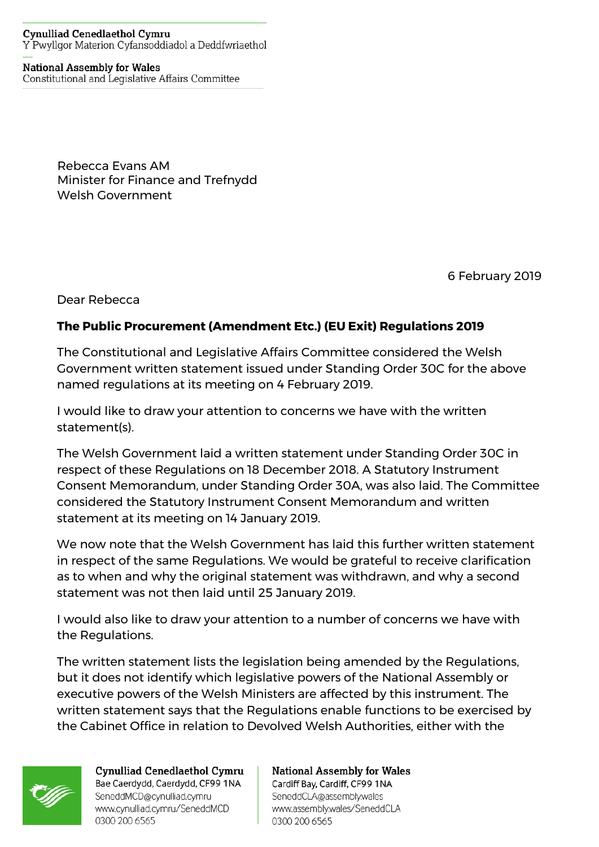## **Cynulliad Cenedlaethol Cymru** Y Pwyllgor Materion Cyfansoddiadol a Deddfwriaethol

## **National Assembly for Wales**

Constitutional and Legislative Affairs Committee

Rebecca Evans AM Minister for Finance and Trefnydd Welsh Government

6 February 2019

Dear Rebecca

## **The Public Procurement (Amendment Etc.) (EU Exit) Regulations 2019**

The Constitutional and Legislative Affairs Committee considered the Welsh Government written statement issued under Standing Order 30C for the above named regulations at its meeting on 4 February 2019.

I would like to draw your attention to concerns we have with the written statement(s).

The Welsh Government laid a written statement under Standing Order 30C in respect of these Regulations on 18 December 2018. A Statutory Instrument Consent Memorandum, under Standing Order 30A, was also laid. The Committee considered the Statutory Instrument Consent Memorandum and written statement at its meeting on 14 January 2019.

We now note that the Welsh Government has laid this further written statement in respect of the same Regulations. We would be grateful to receive clarification as to when and why the original statement was withdrawn, and why a second statement was not then laid until 25 January 2019.

I would also like to draw your attention to a number of concerns we have with the Regulations.

The written statement lists the legislation being amended by the Regulations, but it does not identify which legislative powers of the National Assembly or executive powers of the Welsh Ministers are affected by this instrument. The written statement says that the Regulations enable functions to be exercised by the Cabinet Office in relation to Devolved Welsh Authorities, either with the



Cynulliad Cenedlaethol Cymru Bae Caerdydd, Caerdydd, CF99 1NA SeneddMCD@cynulliad.cymru www.cynulliad.cymru/SeneddMCD 0300 200 6565

## **National Assembly for Wales** Cardiff Bay, Cardiff, CF99 1NA

SeneddCLA@assembly.wales www.assembly.wales/SeneddCLA 0300 200 6565